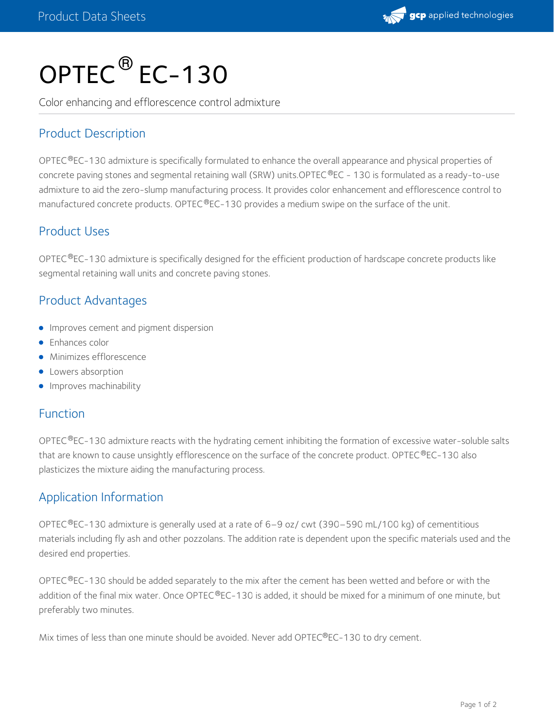

# OPTEC<sup>®</sup> EC-130

Color enhancing and efflorescence control admixture

## Product Description

OPTEC®EC-130 admixture is specifically formulated to enhance the overall appearance and physical properties of concrete paving stones and segmental retaining wall (SRW) units.OPTEC®EC - 130 is formulated as a ready-to-use admixture to aid the zero-slump manufacturing process. It provides color enhancement and efflorescence control to manufactured concrete products. OPTEC $^{\circledR}$ EC-130 provides a medium swipe on the surface of the unit.

## Product Uses

OPTEC $^\circ$ EC-130 admixture is specifically designed for the efficient production of hardscape concrete products like segmental retaining wall units and concrete paving stones.

## Product Advantages

- **Improves cement and pigment dispersion**
- **•** Enhances color
- **•** Minimizes efflorescence
- **•** Lowers absorption
- **•** Improves machinability

### Function

OPTEC $^\circ$ EC-130 admixture reacts with the hydrating cement inhibiting the formation of excessive water-soluble salts that are known to cause unsightly efflorescence on the surface of the concrete product. OPTEC®EC-130 also plasticizes the mixture aiding the manufacturing process.

## Application Information

OPTEC®EC-130 admixture is generally used at a rate of 6–9 oz/ cwt (390–590 mL/100 kg) of cementitious materials including fly ash and other pozzolans. The addition rate is dependent upon the specific materials used and the desired end properties.

OPTEC®EC-130 should be added separately to the mix after the cement has been wetted and before or with the addition of the final mix water. Once OPTEC®EC-130 is added, it should be mixed for a minimum of one minute, but preferably two minutes.

Mix times of less than one minute should be avoided. Never add OPTEC®EC-130 to dry cement.